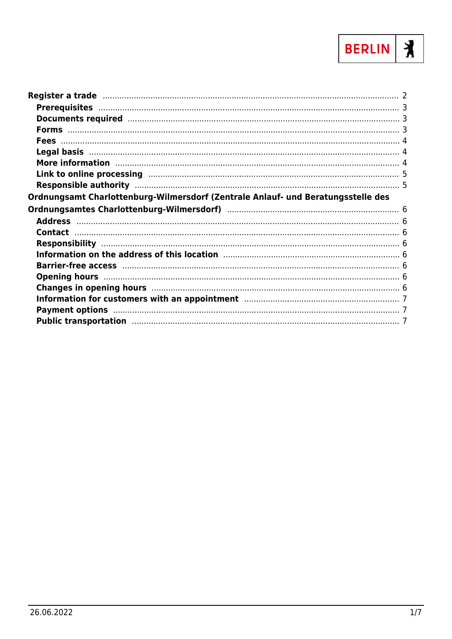

| Documents required manufactured and the contract of the contract of the contract of the contract of the contract of the contract of the contract of the contract of the contract of the contract of the contract of the contra |  |
|--------------------------------------------------------------------------------------------------------------------------------------------------------------------------------------------------------------------------------|--|
|                                                                                                                                                                                                                                |  |
|                                                                                                                                                                                                                                |  |
|                                                                                                                                                                                                                                |  |
| More information manufactured and the contract of the contract of the contract of the contract of the contract of the contract of the contract of the contract of the contract of the contract of the contract of the contract |  |
|                                                                                                                                                                                                                                |  |
|                                                                                                                                                                                                                                |  |
| Ordnungsamt Charlottenburg-Wilmersdorf (Zentrale Anlauf- und Beratungsstelle des                                                                                                                                               |  |
|                                                                                                                                                                                                                                |  |
|                                                                                                                                                                                                                                |  |
|                                                                                                                                                                                                                                |  |
|                                                                                                                                                                                                                                |  |
|                                                                                                                                                                                                                                |  |
|                                                                                                                                                                                                                                |  |
|                                                                                                                                                                                                                                |  |
|                                                                                                                                                                                                                                |  |
| Changes in opening hours manufactured and the control of the control of the control of the Changes in opening hours                                                                                                            |  |
|                                                                                                                                                                                                                                |  |
| Payment options manufactured and the control of the control of the control of the control of the control of the                                                                                                                |  |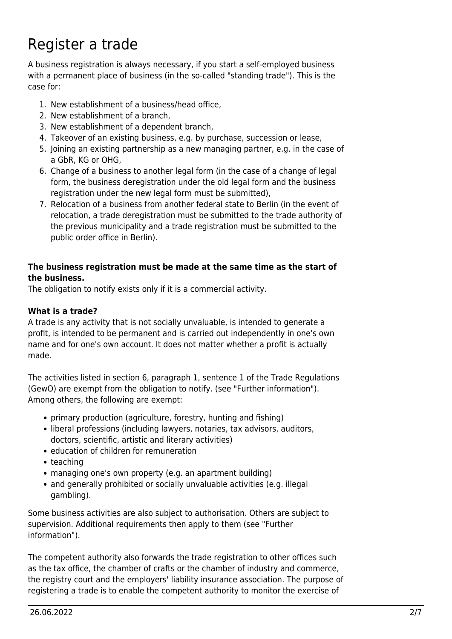# <span id="page-1-0"></span>Register a trade

A business registration is always necessary, if you start a self-employed business with a permanent place of business (in the so-called "standing trade"). This is the case for:

- 1. New establishment of a business/head office,
- 2. New establishment of a branch,
- 3. New establishment of a dependent branch,
- 4. Takeover of an existing business, e.g. by purchase, succession or lease,
- 5. Joining an existing partnership as a new managing partner, e.g. in the case of a GbR, KG or OHG,
- 6. Change of a business to another legal form (in the case of a change of legal form, the business deregistration under the old legal form and the business registration under the new legal form must be submitted),
- 7. Relocation of a business from another federal state to Berlin (in the event of relocation, a trade deregistration must be submitted to the trade authority of the previous municipality and a trade registration must be submitted to the public order office in Berlin).

#### **The business registration must be made at the same time as the start of the business.**

The obligation to notify exists only if it is a commercial activity.

### **What is a trade?**

A trade is any activity that is not socially unvaluable, is intended to generate a profit, is intended to be permanent and is carried out independently in one's own name and for one's own account. It does not matter whether a profit is actually made.

The activities listed in section 6, paragraph 1, sentence 1 of the Trade Regulations (GewO) are exempt from the obligation to notify. (see "Further information"). Among others, the following are exempt:

- primary production (agriculture, forestry, hunting and fishing)
- liberal professions (including lawyers, notaries, tax advisors, auditors, doctors, scientific, artistic and literary activities)
- education of children for remuneration
- teaching
- managing one's own property (e.g. an apartment building)
- and generally prohibited or socially unvaluable activities (e.g. illegal gambling).

Some business activities are also subject to authorisation. Others are subject to supervision. Additional requirements then apply to them (see "Further information").

The competent authority also forwards the trade registration to other offices such as the tax office, the chamber of crafts or the chamber of industry and commerce, the registry court and the employers' liability insurance association. The purpose of registering a trade is to enable the competent authority to monitor the exercise of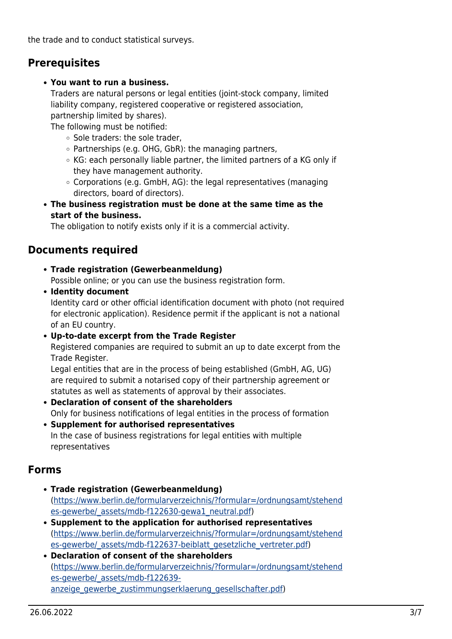the trade and to conduct statistical surveys.

### <span id="page-2-0"></span>**Prerequisites**

### **You want to run a business.**

Traders are natural persons or legal entities (joint-stock company, limited liability company, registered cooperative or registered association, partnership limited by shares).

The following must be notified:

- Sole traders: the sole trader.
- $\circ$  Partnerships (e.g. OHG, GbR): the managing partners,
- KG: each personally liable partner, the limited partners of a KG only if they have management authority.
- $\circ$  Corporations (e.g. GmbH, AG): the legal representatives (managing directors, board of directors).
- **The business registration must be done at the same time as the start of the business.**

The obligation to notify exists only if it is a commercial activity.

### <span id="page-2-1"></span>**Documents required**

**Trade registration (Gewerbeanmeldung)**

Possible online; or you can use the business registration form.

- **Identity document** Identity card or other official identification document with photo (not required for electronic application). Residence permit if the applicant is not a national of an EU country.
- **Up-to-date excerpt from the Trade Register**

Registered companies are required to submit an up to date excerpt from the Trade Register.

Legal entities that are in the process of being established (GmbH, AG, UG) are required to submit a notarised copy of their partnership agreement or statutes as well as statements of approval by their associates.

- **Declaration of consent of the shareholders** Only for business notifications of legal entities in the process of formation
- **Supplement for authorised representatives** In the case of business registrations for legal entities with multiple representatives

### <span id="page-2-2"></span>**Forms**

- **Trade registration (Gewerbeanmeldung)** ([https://www.berlin.de/formularverzeichnis/?formular=/ordnungsamt/stehend](https://www.berlin.de/formularverzeichnis/?formular=/ordnungsamt/stehendes-gewerbe/_assets/mdb-f122630-gewa1_neutral.pdf) [es-gewerbe/\\_assets/mdb-f122630-gewa1\\_neutral.pdf\)](https://www.berlin.de/formularverzeichnis/?formular=/ordnungsamt/stehendes-gewerbe/_assets/mdb-f122630-gewa1_neutral.pdf)
- **Supplement to the application for authorised representatives** ([https://www.berlin.de/formularverzeichnis/?formular=/ordnungsamt/stehend](https://www.berlin.de/formularverzeichnis/?formular=/ordnungsamt/stehendes-gewerbe/_assets/mdb-f122637-beiblatt_gesetzliche_vertreter.pdf) es-gewerbe/ assets/mdb-f122637-beiblatt\_gesetzliche\_vertreter.pdf)
- **Declaration of consent of the shareholders** ([https://www.berlin.de/formularverzeichnis/?formular=/ordnungsamt/stehend](https://www.berlin.de/formularverzeichnis/?formular=/ordnungsamt/stehendes-gewerbe/_assets/mdb-f122639-anzeige_gewerbe_zustimmungserklaerung_gesellschafter.pdf) [es-gewerbe/\\_assets/mdb-f122639](https://www.berlin.de/formularverzeichnis/?formular=/ordnungsamt/stehendes-gewerbe/_assets/mdb-f122639-anzeige_gewerbe_zustimmungserklaerung_gesellschafter.pdf) [anzeige\\_gewerbe\\_zustimmungserklaerung\\_gesellschafter.pdf](https://www.berlin.de/formularverzeichnis/?formular=/ordnungsamt/stehendes-gewerbe/_assets/mdb-f122639-anzeige_gewerbe_zustimmungserklaerung_gesellschafter.pdf))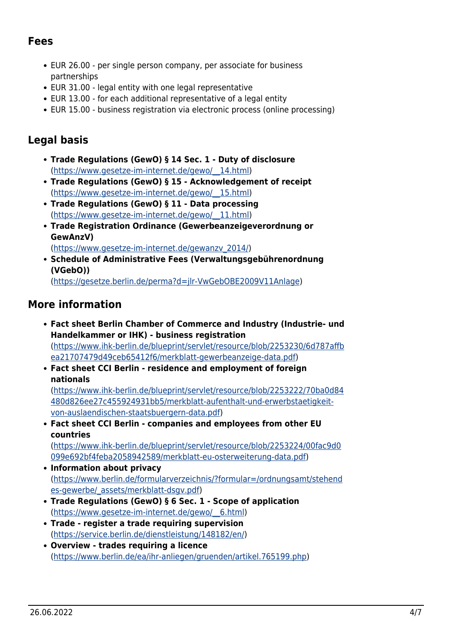### <span id="page-3-0"></span>**Fees**

- EUR 26.00 per single person company, per associate for business partnerships
- EUR 31.00 legal entity with one legal representative
- EUR 13.00 for each additional representative of a legal entity
- EUR 15.00 business registration via electronic process (online processing)

## <span id="page-3-1"></span>**Legal basis**

- **Trade Regulations (GewO) § 14 Sec. 1 Duty of disclosure** ([https://www.gesetze-im-internet.de/gewo/\\_\\_14.html](https://www.gesetze-im-internet.de/gewo/__14.html))
- **Trade Regulations (GewO) § 15 Acknowledgement of receipt** ([https://www.gesetze-im-internet.de/gewo/\\_\\_15.html](https://www.gesetze-im-internet.de/gewo/__15.html))
- **Trade Regulations (GewO) § 11 Data processing** ([https://www.gesetze-im-internet.de/gewo/\\_\\_11.html](https://www.gesetze-im-internet.de/gewo/__11.html))
- **Trade Registration Ordinance (Gewerbeanzeigeverordnung or GewAnzV)** ([https://www.gesetze-im-internet.de/gewanzv\\_2014/](https://www.gesetze-im-internet.de/gewanzv_2014/))
- **Schedule of Administrative Fees (Verwaltungsgebührenordnung (VGebO))**

([https://gesetze.berlin.de/perma?d=jlr-VwGebOBE2009V11Anlage\)](https://gesetze.berlin.de/perma?d=jlr-VwGebOBE2009V11Anlage)

### <span id="page-3-2"></span>**More information**

- **Fact sheet Berlin Chamber of Commerce and Industry (Industrie- und Handelkammer or IHK) - business registration** ([https://www.ihk-berlin.de/blueprint/servlet/resource/blob/2253230/6d787affb](https://www.ihk-berlin.de/blueprint/servlet/resource/blob/2253230/6d787affbea21707479d49ceb65412f6/merkblatt-gewerbeanzeige-data.pdf) [ea21707479d49ceb65412f6/merkblatt-gewerbeanzeige-data.pdf](https://www.ihk-berlin.de/blueprint/servlet/resource/blob/2253230/6d787affbea21707479d49ceb65412f6/merkblatt-gewerbeanzeige-data.pdf))
- **Fact sheet CCI Berlin residence and employment of foreign nationals**

([https://www.ihk-berlin.de/blueprint/servlet/resource/blob/2253222/70ba0d84](https://www.ihk-berlin.de/blueprint/servlet/resource/blob/2253222/70ba0d84480d826ee27c455924931bb5/merkblatt-aufenthalt-und-erwerbstaetigkeit-von-auslaendischen-staatsbuergern-data.pdf) [480d826ee27c455924931bb5/merkblatt-aufenthalt-und-erwerbstaetigkeit](https://www.ihk-berlin.de/blueprint/servlet/resource/blob/2253222/70ba0d84480d826ee27c455924931bb5/merkblatt-aufenthalt-und-erwerbstaetigkeit-von-auslaendischen-staatsbuergern-data.pdf)[von-auslaendischen-staatsbuergern-data.pdf\)](https://www.ihk-berlin.de/blueprint/servlet/resource/blob/2253222/70ba0d84480d826ee27c455924931bb5/merkblatt-aufenthalt-und-erwerbstaetigkeit-von-auslaendischen-staatsbuergern-data.pdf)

**Fact sheet CCI Berlin - companies and employees from other EU countries**

([https://www.ihk-berlin.de/blueprint/servlet/resource/blob/2253224/00fac9d0](https://www.ihk-berlin.de/blueprint/servlet/resource/blob/2253224/00fac9d0099e692bf4feba2058942589/merkblatt-eu-osterweiterung-data.pdf) [099e692bf4feba2058942589/merkblatt-eu-osterweiterung-data.pdf\)](https://www.ihk-berlin.de/blueprint/servlet/resource/blob/2253224/00fac9d0099e692bf4feba2058942589/merkblatt-eu-osterweiterung-data.pdf)

- **Information about privacy** ([https://www.berlin.de/formularverzeichnis/?formular=/ordnungsamt/stehend](https://www.berlin.de/formularverzeichnis/?formular=/ordnungsamt/stehendes-gewerbe/_assets/merkblatt-dsgv.pdf) [es-gewerbe/\\_assets/merkblatt-dsgv.pdf\)](https://www.berlin.de/formularverzeichnis/?formular=/ordnungsamt/stehendes-gewerbe/_assets/merkblatt-dsgv.pdf)
- **Trade Regulations (GewO) § 6 Sec. 1 Scope of application** ([https://www.gesetze-im-internet.de/gewo/\\_\\_6.html\)](https://www.gesetze-im-internet.de/gewo/__6.html)
- **Trade register a trade requiring supervision** ([https://service.berlin.de/dienstleistung/148182/en/\)](https://service.berlin.de/dienstleistung/148182/en/)
- **Overview trades requiring a licence** ([https://www.berlin.de/ea/ihr-anliegen/gruenden/artikel.765199.php\)](https://www.berlin.de/ea/ihr-anliegen/gruenden/artikel.765199.php)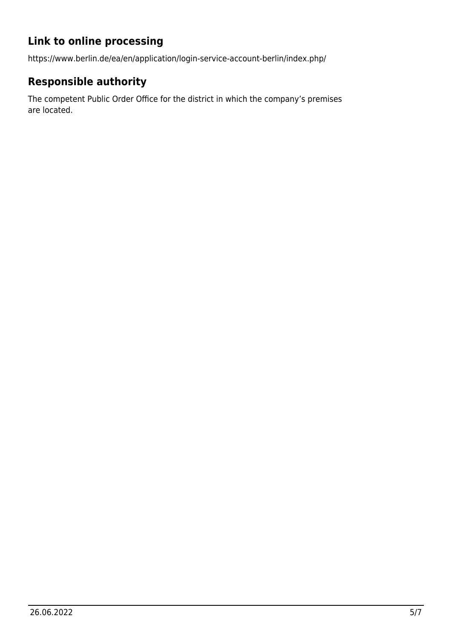# **Link to online processing**

https://www.berlin.de/ea/en/application/login-service-account-berlin/index.php/

# <span id="page-4-1"></span>**Responsible authority**

<span id="page-4-0"></span>The competent Public Order Office for the district in which the company's premises are located.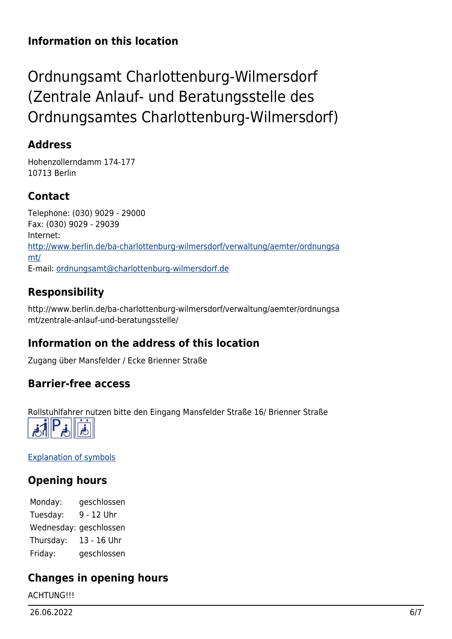### **Information on this location**

# <span id="page-5-0"></span>Ordnungsamt Charlottenburg-Wilmersdorf (Zentrale Anlauf- und Beratungsstelle des Ordnungsamtes Charlottenburg-Wilmersdorf)

### <span id="page-5-1"></span>**Address**

Hohenzollerndamm 174-177 10713 Berlin

# <span id="page-5-2"></span>**Contact**

Telephone: (030) 9029 - 29000 Fax: (030) 9029 - 29039 Internet: [http://www.berlin.de/ba-charlottenburg-wilmersdorf/verwaltung/aemter/ordnungsa](http://www.berlin.de/ba-charlottenburg-wilmersdorf/verwaltung/aemter/ordnungsamt/) [mt/](http://www.berlin.de/ba-charlottenburg-wilmersdorf/verwaltung/aemter/ordnungsamt/) E-mail: [ordnungsamt@charlottenburg-wilmersdorf.de](mailto:ordnungsamt@charlottenburg-wilmersdorf.de)

# <span id="page-5-3"></span>**Responsibility**

http://www.berlin.de/ba-charlottenburg-wilmersdorf/verwaltung/aemter/ordnungsa mt/zentrale-anlauf-und-beratungsstelle/

# <span id="page-5-4"></span>**Information on the address of this location**

Zugang über Mansfelder / Ecke Brienner Straße

### <span id="page-5-5"></span>**Barrier-free access**

Rollstuhlfahrer nutzen bitte den Eingang Mansfelder Straße 16/ Brienner Straße



[Explanation of symbols](https://service.berlin.de/hinweise/artikel.2699.php)

# <span id="page-5-6"></span>**Opening hours**

Monday: geschlossen Tuesday: 9 - 12 Uhr Wednesday: geschlossen Thursday: 13 - 16 Uhr Friday: geschlossen

# <span id="page-5-7"></span>**Changes in opening hours**

**ACHTUNG!!!**